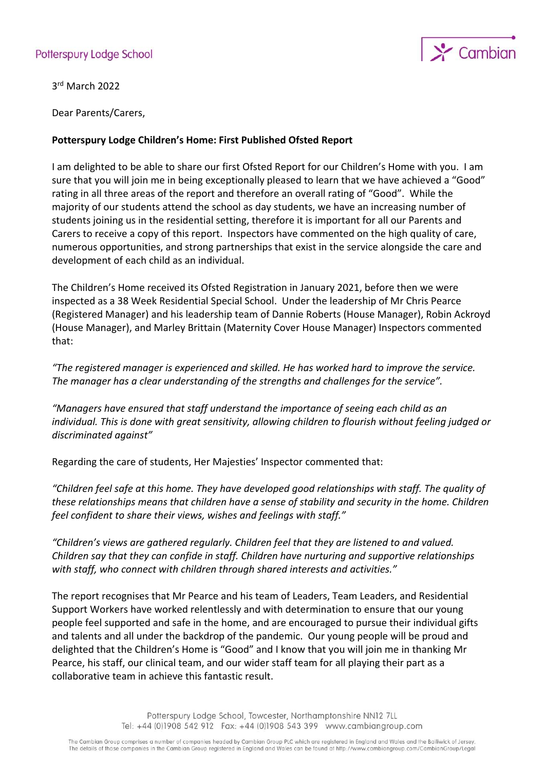## Potterspury Lodge School



3 rd March 2022

Dear Parents/Carers,

## **Potterspury Lodge Children's Home: First Published Ofsted Report**

I am delighted to be able to share our first Ofsted Report for our Children's Home with you. I am sure that you will join me in being exceptionally pleased to learn that we have achieved a "Good" rating in all three areas of the report and therefore an overall rating of "Good". While the majority of our students attend the school as day students, we have an increasing number of students joining us in the residential setting, therefore it is important for all our Parents and Carers to receive a copy of this report. Inspectors have commented on the high quality of care, numerous opportunities, and strong partnerships that exist in the service alongside the care and development of each child as an individual.

The Children's Home received its Ofsted Registration in January 2021, before then we were inspected as a 38 Week Residential Special School. Under the leadership of Mr Chris Pearce (Registered Manager) and his leadership team of Dannie Roberts (House Manager), Robin Ackroyd (House Manager), and Marley Brittain (Maternity Cover House Manager) Inspectors commented that:

*"The registered manager is experienced and skilled. He has worked hard to improve the service. The manager has a clear understanding of the strengths and challenges for the service".*

*"Managers have ensured that staff understand the importance of seeing each child as an individual. This is done with great sensitivity, allowing children to flourish without feeling judged or discriminated against"*

Regarding the care of students, Her Majesties' Inspector commented that:

*"Children feel safe at this home. They have developed good relationships with staff. The quality of these relationships means that children have a sense of stability and security in the home. Children feel confident to share their views, wishes and feelings with staff."*

*"Children's views are gathered regularly. Children feel that they are listened to and valued. Children say that they can confide in staff. Children have nurturing and supportive relationships with staff, who connect with children through shared interests and activities."*

The report recognises that Mr Pearce and his team of Leaders, Team Leaders, and Residential Support Workers have worked relentlessly and with determination to ensure that our young people feel supported and safe in the home, and are encouraged to pursue their individual gifts and talents and all under the backdrop of the pandemic. Our young people will be proud and delighted that the Children's Home is "Good" and I know that you will join me in thanking Mr Pearce, his staff, our clinical team, and our wider staff team for all playing their part as a collaborative team in achieve this fantastic result.